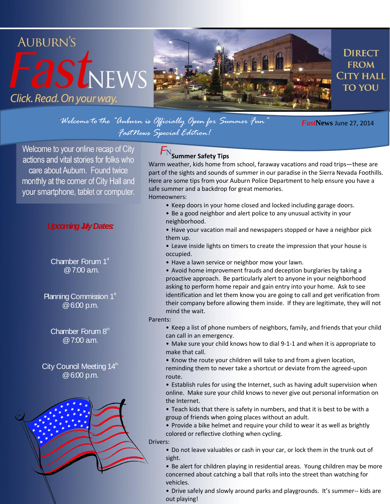# **AUBURN'S**  $-2st$ NEWS Click. Read. On your way.



**DIRECT FROM CITY HALL TO YOU** 

*Welcome to the "Auburn is Officially Open for Summer Fun" FastNews Special Edition!*

*Fast***News** June 27, 2014

Welcome to your online recap of City actions and vital stories for folks who care about Auburn. Found twice monthly at the corner of City Hall and your smartphone, tablet or computer.

### **Upcoming July Dates:**

Chamber Forum  $1<sup>*</sup>$ @ 7:00 a.m.

Planning Commission  $1<sup>*</sup>$ @ 6:00 p.m.

Chamber Forum  $8<sup>th</sup>$  $@7:00$  am.

City Council Meeting  $14<sup>th</sup>$ @ 6:00 p.m.



# $F_{\rm N}$ Summer Safety Tips

Warm weather, kids home from school, faraway vacations and road trips—these are part of the sights and sounds of summer in our paradise in the Sierra Nevada Foothills. Here are some tips from your Auburn Police Department to help ensure you have a safe summer and a backdrop for great memories. Homeowners:

- Keep doors in your home closed and locked including garage doors.
- Be a good neighbor and alert police to any unusual activity in your neighborhood.

• Have your vacation mail and newspapers stopped or have a neighbor pick them up.

- Leave inside lights on timers to create the impression that your house is occupied.
- Have a lawn service or neighbor mow your lawn.

• Avoid home improvement frauds and deception burglaries by taking a proactive approach. Be particularly alert to anyone in your neighborhood asking to perform home repair and gain entry into your home. Ask to see identification and let them know you are going to call and get verification from their company before allowing them inside. If they are legitimate, they will not mind the wait.

#### Parents:

- Keep a list of phone numbers of neighbors, family, and friends that your child can call in an emergency.
- Make sure your child knows how to dial 9-1-1 and when it is appropriate to make that call.
- Know the route your children will take to and from a given location, reminding them to never take a shortcut or deviate from the agreed-upon route.
- Establish rules for using the Internet, such as having adult supervision when online. Make sure your child knows to never give out personal information on the Internet.
- Teach kids that there is safety in numbers, and that it is best to be with a group of friends when going places without an adult.
- Provide a bike helmet and require your child to wear it as well as brightly colored or reflective clothing when cycling.

#### Drivers:

- Do not leave valuables or cash in your car, or lock them in the trunk out of sight.
- Be alert for children playing in residential areas. Young children may be more concerned about catching a ball that rolls into the street than watching for vehicles.
- Drive safely and slowly around parks and playgrounds. It's summer-- kids are out playing!